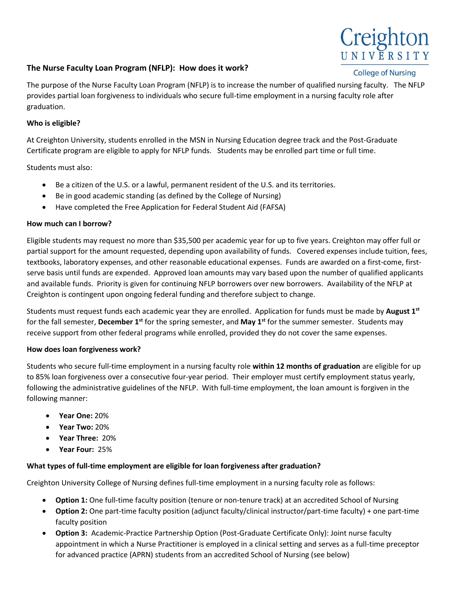# Creighton UNIVERSITY

# **The Nurse Faculty Loan Program (NFLP): How does it work?**

**College of Nursing** 

The purpose of the Nurse Faculty Loan Program (NFLP) is to increase the number of qualified nursing faculty. The NFLP provides partial loan forgiveness to individuals who secure full-time employment in a nursing faculty role after graduation.

## **Who is eligible?**

At Creighton University, students enrolled in the MSN in Nursing Education degree track and the Post-Graduate Certificate program are eligible to apply for NFLP funds. Students may be enrolled part time or full time.

Students must also:

- Be a citizen of the U.S. or a lawful, permanent resident of the U.S. and its territories.
- Be in good academic standing (as defined by the College of Nursing)
- Have completed the Free Application for Federal Student Aid (FAFSA)

## **How much can I borrow?**

Eligible students may request no more than \$35,500 per academic year for up to five years. Creighton may offer full or partial support for the amount requested, depending upon availability of funds. Covered expenses include tuition, fees, textbooks, laboratory expenses, and other reasonable educational expenses. Funds are awarded on a first-come, firstserve basis until funds are expended. Approved loan amounts may vary based upon the number of qualified applicants and available funds. Priority is given for continuing NFLP borrowers over new borrowers. Availability of the NFLP at Creighton is contingent upon ongoing federal funding and therefore subject to change.

Students must request funds each academic year they are enrolled. Application for funds must be made by **August 1st** for the fall semester, **December 1st** for the spring semester, and **May 1st** for the summer semester. Students may receive support from other federal programs while enrolled, provided they do not cover the same expenses.

#### **How does loan forgiveness work?**

Students who secure full-time employment in a nursing faculty role **within 12 months of graduation** are eligible for up to 85% loan forgiveness over a consecutive four-year period. Their employer must certify employment status yearly, following the administrative guidelines of the NFLP. With full-time employment, the loan amount is forgiven in the following manner:

- **Year One:** 20%
- **Year Two:** 20%
- **Year Three:** 20%
- **Year Four:** 25%

## **What types of full-time employment are eligible for loan forgiveness after graduation?**

Creighton University College of Nursing defines full-time employment in a nursing faculty role as follows:

- **Option 1:** One full-time faculty position (tenure or non-tenure track) at an accredited School of Nursing
- **Option 2:** One part-time faculty position (adjunct faculty/clinical instructor/part-time faculty) + one part-time faculty position
- **Option 3:** Academic-Practice Partnership Option (Post-Graduate Certificate Only): Joint nurse faculty appointment in which a Nurse Practitioner is employed in a clinical setting and serves as a full-time preceptor for advanced practice (APRN) students from an accredited School of Nursing (see below)